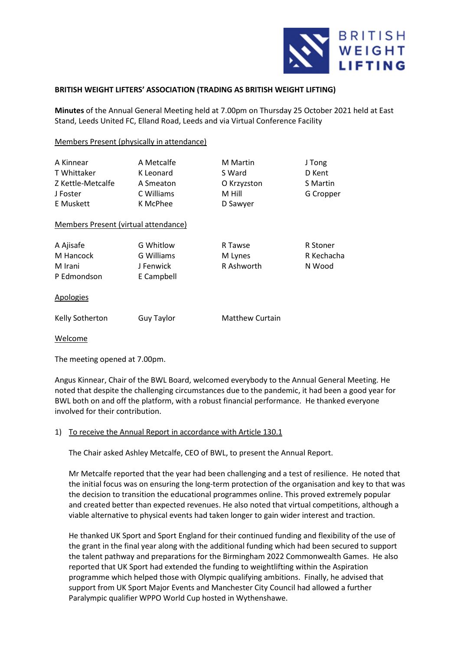

## **BRITISH WEIGHT LIFTERS' ASSOCIATION (TRADING AS BRITISH WEIGHT LIFTING)**

**Minutes** of the Annual General Meeting held at 7.00pm on Thursday 25 October 2021 held at East Stand, Leeds United FC, Elland Road, Leeds and via Virtual Conference Facility

Members Present (physically in attendance)

| A Kinnear<br>T Whittaker<br>Z Kettle-Metcalfe<br>J Foster<br>E Muskett<br>Members Present (virtual attendance) | A Metcalfe<br>K Leonard<br>A Smeaton<br>C Williams<br>K McPhee | <b>M</b> Martin<br>S Ward<br>O Krzyzston<br>M Hill<br>D Sawyer | J Tong<br>D Kent<br>S Martin<br>G Cropper |
|----------------------------------------------------------------------------------------------------------------|----------------------------------------------------------------|----------------------------------------------------------------|-------------------------------------------|
| A Ajisafe<br>M Hancock<br>M Irani<br>P Edmondson                                                               | G Whitlow<br>G Williams<br>J Fenwick<br>E Campbell             | R Tawse<br>M Lynes<br>R Ashworth                               | R Stoner<br>R Kechacha<br>N Wood          |
| Apologies                                                                                                      |                                                                |                                                                |                                           |
| Kelly Sotherton                                                                                                | Guy Taylor                                                     | <b>Matthew Curtain</b>                                         |                                           |

Welcome

The meeting opened at 7.00pm.

Angus Kinnear, Chair of the BWL Board, welcomed everybody to the Annual General Meeting. He noted that despite the challenging circumstances due to the pandemic, it had been a good year for BWL both on and off the platform, with a robust financial performance. He thanked everyone involved for their contribution.

## 1) To receive the Annual Report in accordance with Article 130.1

The Chair asked Ashley Metcalfe, CEO of BWL, to present the Annual Report.

Mr Metcalfe reported that the year had been challenging and a test of resilience. He noted that the initial focus was on ensuring the long-term protection of the organisation and key to that was the decision to transition the educational programmes online. This proved extremely popular and created better than expected revenues. He also noted that virtual competitions, although a viable alternative to physical events had taken longer to gain wider interest and traction.

He thanked UK Sport and Sport England for their continued funding and flexibility of the use of the grant in the final year along with the additional funding which had been secured to support the talent pathway and preparations for the Birmingham 2022 Commonwealth Games. He also reported that UK Sport had extended the funding to weightlifting within the Aspiration programme which helped those with Olympic qualifying ambitions. Finally, he advised that support from UK Sport Major Events and Manchester City Council had allowed a further Paralympic qualifier WPPO World Cup hosted in Wythenshawe.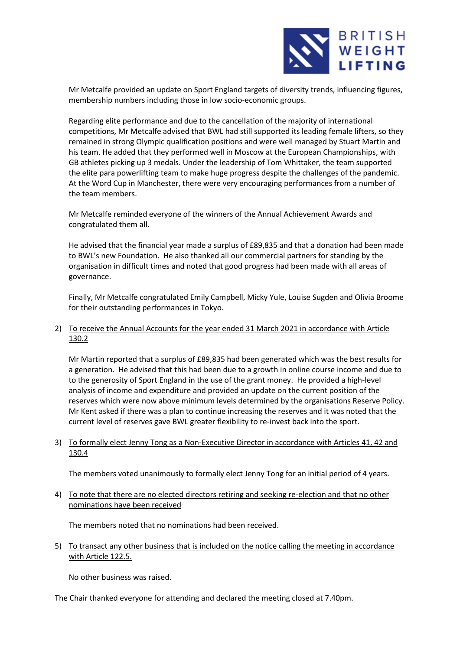

Mr Metcalfe provided an update on Sport England targets of diversity trends, influencing figures, membership numbers including those in low socio-economic groups.

Regarding elite performance and due to the cancellation of the majority of international competitions, Mr Metcalfe advised that BWL had still supported its leading female lifters, so they remained in strong Olympic qualification positions and were well managed by Stuart Martin and his team. He added that they performed well in Moscow at the European Championships, with GB athletes picking up 3 medals. Under the leadership of Tom Whittaker, the team supported the elite para powerlifting team to make huge progress despite the challenges of the pandemic. At the Word Cup in Manchester, there were very encouraging performances from a number of the team members.

Mr Metcalfe reminded everyone of the winners of the Annual Achievement Awards and congratulated them all.

He advised that the financial year made a surplus of £89,835 and that a donation had been made to BWL's new Foundation. He also thanked all our commercial partners for standing by the organisation in difficult times and noted that good progress had been made with all areas of governance.

Finally, Mr Metcalfe congratulated Emily Campbell, Micky Yule, Louise Sugden and Olivia Broome for their outstanding performances in Tokyo.

2) To receive the Annual Accounts for the year ended 31 March 2021 in accordance with Article 130.2

Mr Martin reported that a surplus of £89,835 had been generated which was the best results for a generation. He advised that this had been due to a growth in online course income and due to to the generosity of Sport England in the use of the grant money. He provided a high-level analysis of income and expenditure and provided an update on the current position of the reserves which were now above minimum levels determined by the organisations Reserve Policy. Mr Kent asked if there was a plan to continue increasing the reserves and it was noted that the current level of reserves gave BWL greater flexibility to re-invest back into the sport.

3) To formally elect Jenny Tong as a Non-Executive Director in accordance with Articles 41, 42 and 130.4

The members voted unanimously to formally elect Jenny Tong for an initial period of 4 years.

4) To note that there are no elected directors retiring and seeking re-election and that no other nominations have been received

The members noted that no nominations had been received.

5) To transact any other business that is included on the notice calling the meeting in accordance with Article 122.5.

No other business was raised.

The Chair thanked everyone for attending and declared the meeting closed at 7.40pm.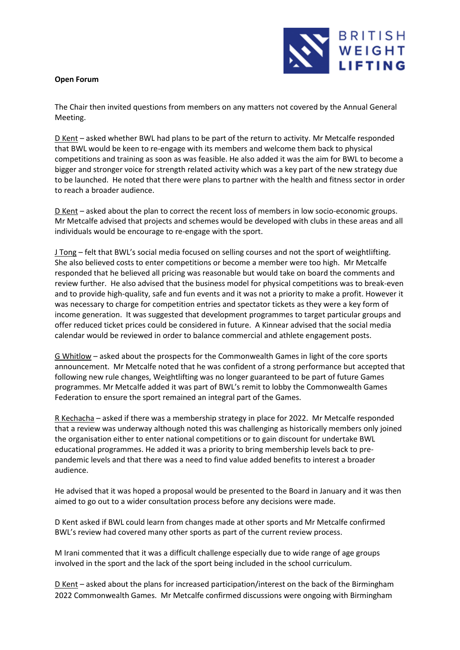## **Open Forum**

BRITISH WEIGHT **LIFTING** 

The Chair then invited questions from members on any matters not covered by the Annual General Meeting.

D Kent – asked whether BWL had plans to be part of the return to activity. Mr Metcalfe responded that BWL would be keen to re-engage with its members and welcome them back to physical competitions and training as soon as was feasible. He also added it was the aim for BWL to become a bigger and stronger voice for strength related activity which was a key part of the new strategy due to be launched. He noted that there were plans to partner with the health and fitness sector in order to reach a broader audience.

D Kent – asked about the plan to correct the recent loss of members in low socio-economic groups. Mr Metcalfe advised that projects and schemes would be developed with clubs in these areas and all individuals would be encourage to re-engage with the sport.

J Tong – felt that BWL's social media focused on selling courses and not the sport of weightlifting. She also believed costs to enter competitions or become a member were too high. Mr Metcalfe responded that he believed all pricing was reasonable but would take on board the comments and review further. He also advised that the business model for physical competitions was to break-even and to provide high-quality, safe and fun events and it was not a priority to make a profit. However it was necessary to charge for competition entries and spectator tickets as they were a key form of income generation. It was suggested that development programmes to target particular groups and offer reduced ticket prices could be considered in future. A Kinnear advised that the social media calendar would be reviewed in order to balance commercial and athlete engagement posts.

G Whitlow – asked about the prospects for the Commonwealth Games in light of the core sports announcement. Mr Metcalfe noted that he was confident of a strong performance but accepted that following new rule changes, Weightlifting was no longer guaranteed to be part of future Games programmes. Mr Metcalfe added it was part of BWL's remit to lobby the Commonwealth Games Federation to ensure the sport remained an integral part of the Games.

R Kechacha – asked if there was a membership strategy in place for 2022. Mr Metcalfe responded that a review was underway although noted this was challenging as historically members only joined the organisation either to enter national competitions or to gain discount for undertake BWL educational programmes. He added it was a priority to bring membership levels back to prepandemic levels and that there was a need to find value added benefits to interest a broader audience.

He advised that it was hoped a proposal would be presented to the Board in January and it was then aimed to go out to a wider consultation process before any decisions were made.

D Kent asked if BWL could learn from changes made at other sports and Mr Metcalfe confirmed BWL's review had covered many other sports as part of the current review process.

M Irani commented that it was a difficult challenge especially due to wide range of age groups involved in the sport and the lack of the sport being included in the school curriculum.

D Kent – asked about the plans for increased participation/interest on the back of the Birmingham 2022 Commonwealth Games. Mr Metcalfe confirmed discussions were ongoing with Birmingham